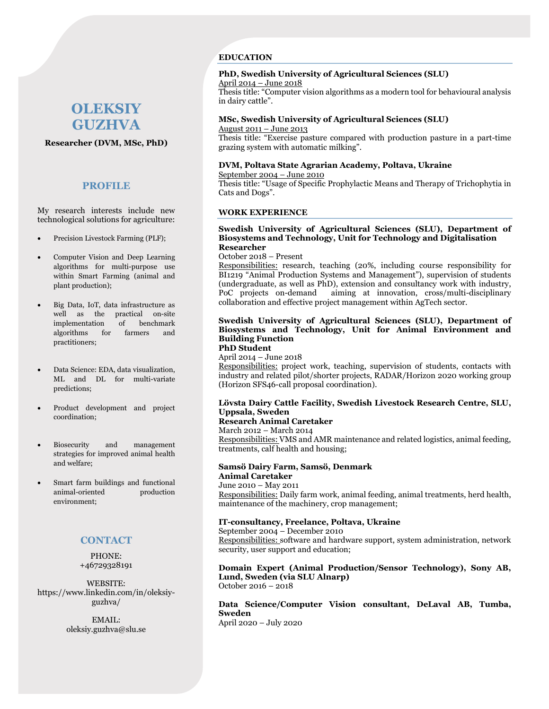# **OLEKSIY GUZHVA**

**Researcher (DVM, MSc, PhD)**

### **PROFILE**

My research interests include new technological solutions for agriculture:

- Precision Livestock Farming (PLF);
- Computer Vision and Deep Learning algorithms for multi-purpose use within Smart Farming (animal and plant production);
- Big Data, IoT, data infrastructure as well as the practical on-site implementation of benchmark algorithms for farmers and practitioners;
- Data Science: EDA, data visualization, ML and DL for multi-variate predictions;
- Product development and project coordination;
- Biosecurity and management strategies for improved animal health and welfare;
- Smart farm buildings and functional animal-oriented production environment;

# **CONTACT**

PHONE: +46729328191

WEBSITE: https://www.linkedin.com/in/oleksiyguzhva/

> EMAIL: oleksiy.guzhva@slu.se

### **EDUCATION**

# **PhD, Swedish University of Agricultural Sciences (SLU)**

April 2014 – June 2018

Thesis title: "Computer vision algorithms as a modern tool for behavioural analysis in dairy cattle".

### **MSc, Swedish University of Agricultural Sciences (SLU)** August 2011 – June 2013

Thesis title: "Exercise pasture compared with production pasture in a part-time grazing system with automatic milking".

# **DVM, Poltava State Agrarian Academy, Poltava, Ukraine**

September 2004 – June 2010

Thesis title: "Usage of Specific Prophylactic Means and Therapy of Trichophytia in Cats and Dogs".

### **WORK EXPERIENCE**

### **Swedish University of Agricultural Sciences (SLU), Department of Biosystems and Technology, Unit for Technology and Digitalisation Researcher**

October 2018 – Present

Responsibilities: research, teaching (20%, including course responsibility for BI1219 "Animal Production Systems and Management"), supervision of students (undergraduate, as well as PhD), extension and consultancy work with industry, PoC projects on-demand aiming at innovation, cross/multi-disciplinary collaboration and effective project management within AgTech sector.

# **Swedish University of Agricultural Sciences (SLU), Department of Biosystems and Technology, Unit for Animal Environment and Building Function**

**PhD Student** 

April 2014 – June 2018 Responsibilities: project work, teaching, supervision of students, contacts with industry and related pilot/shorter projects, RADAR/Horizon 2020 working group (Horizon SFS46-call proposal coordination).

# **Lövsta Dairy Cattle Facility, Swedish Livestock Research Centre, SLU, Uppsala, Sweden**

#### **Research Animal Caretaker** March 2012 – March 2014

Responsibilities: VMS and AMR maintenance and related logistics, animal feeding, treatments, calf health and housing;

### **Samsö Dairy Farm, Samsö, Denmark Animal Caretaker**

June 2010 – May 2011 Responsibilities: Daily farm work, animal feeding, animal treatments, herd health, maintenance of the machinery, crop management;

### **IT-consultancy, Freelance, Poltava, Ukraine**

September 2004 – December 2010 Responsibilities: software and hardware support, system administration, network security, user support and education;

### **Domain Expert (Animal Production/Sensor Technology), Sony AB, Lund, Sweden (via SLU Alnarp)** October 2016 – 2018

# **Data Science/Computer Vision consultant, DeLaval AB, Tumba, Sweden**

April 2020 – July 2020